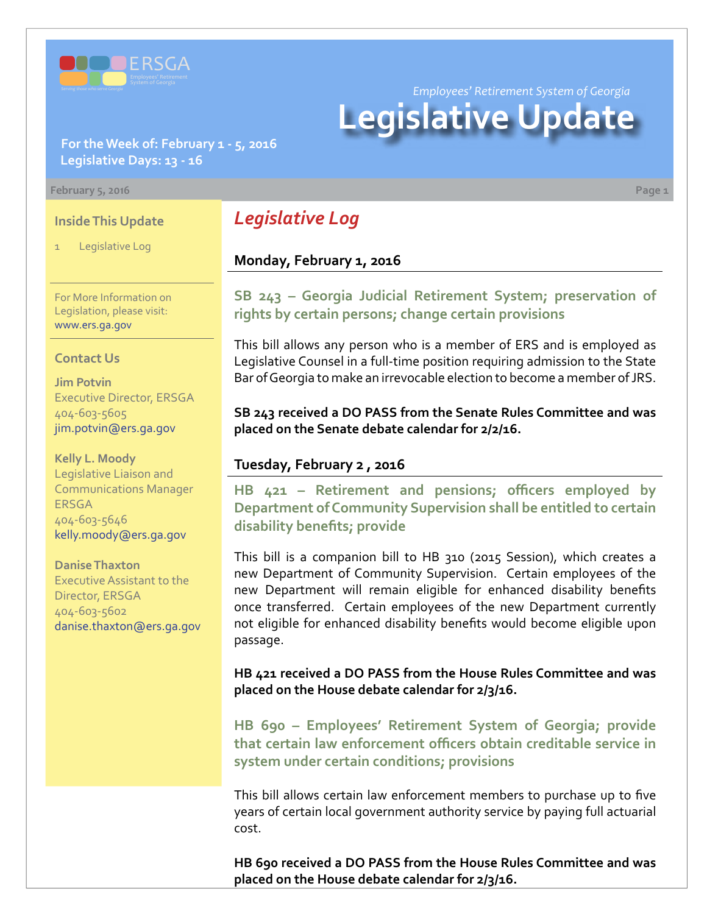

*Employees' Retirement System of Georgia*

# **Legislative Update**

## **For the Week of: February 1 - 5, 2016 Legislative Days: 13 - 16**

#### **February 5, 2016 Page 1**

#### **Inside This Update**

Legislative Log

*Legislative Log*

## **Monday, February 1, 2016**

**S[B 243 –](http://www.legis.ga.gov/legislation/en-US/Display/20152016/SB/243) Georgia Judicial Retirement System; preservation of rights by certain persons; change certain provisions**

This bill allows any person who is a member of ERS and is employed as Legislative Counsel in a full-time position requiring admission to the State Bar of Georgia to make an irrevocable election to become a member of JRS.

**SB 243 received a DO PASS from the Senate Rules Committee and was placed on the Senate debate calendar for 2/2/16.**

### **Tuesday, February 2 , 2016**

**HB [421 –](http://www.legis.ga.gov/legislation/en-US/Display/20152016/HB/421) Retirement and pensions; officers employed by Department of Community Supervision shall be entitled to certain disability benefits; provide**

This bill is a companion bill to HB 310 (2015 Session), which creates a new Department of Community Supervision. Certain employees of the new Department will remain eligible for enhanced disability benefits once transferred. Certain employees of the new Department currently not eligible for enhanced disability benefits would become eligible upon passage.

**HB 421 received a DO PASS from the House Rules Committee and was placed on the House debate calendar for 2/3/16.**

**HB [690 – E](http://www.legis.ga.gov/legislation/en-US/Display/20152016/HB/690)mployees' Retirement System of Georgia; provide that certain law enforcement officers obtain creditable service in system under certain conditions; provisions**

This bill allows certain law enforcement members to purchase up to five years of certain local government authority service by paying full actuarial cost.

**HB 690 received a DO PASS from the House Rules Committee and was placed on the House debate calendar for 2/3/16.**

For More Information on Legislation, please visit: [www.ers.ga.gov](http://www.ers.ga.gov/default.aspx)

#### **Contact Us**

**Jim Potvin** Executive Director, ERSGA 404-603-5605 jim.potvin@ers.ga.gov

**Kelly L. Moody** Legislative Liaison and Communications Manager **ERSGA** 404-603-5646 kelly.moody@ers.ga.gov

#### **Danise Thaxton**

Executive Assistant to the Director, ERSGA 404-603-5602 danise.thaxton@ers.ga.gov